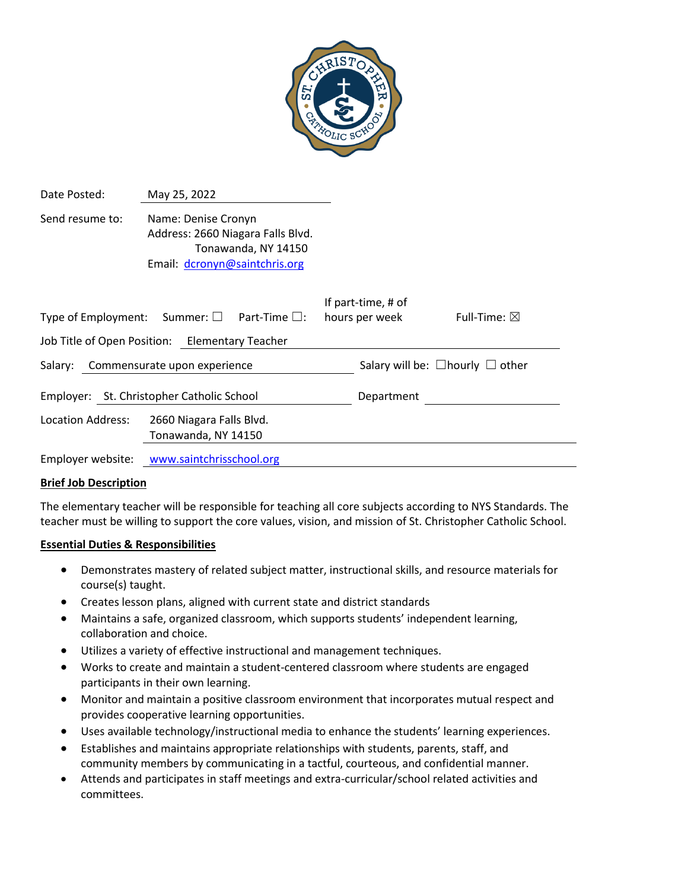

| Date Posted:                                                   | May 25, 2022                                                                                                     |                                            |                        |
|----------------------------------------------------------------|------------------------------------------------------------------------------------------------------------------|--------------------------------------------|------------------------|
| Send resume to:                                                | Name: Denise Cronyn<br>Address: 2660 Niagara Falls Blvd.<br>Tonawanda, NY 14150<br>Email: dcronyn@saintchris.org |                                            |                        |
| Type of Employment: Summer: $\square$<br>Part-Time $\square$ : |                                                                                                                  | If part-time, # of<br>hours per week       | Full-Time: $\boxtimes$ |
|                                                                | Job Title of Open Position: Elementary Teacher                                                                   |                                            |                        |
| Salary: Commensurate upon experience                           |                                                                                                                  | Salary will be: $\Box$ hourly $\Box$ other |                        |
| Employer: St. Christopher Catholic School                      |                                                                                                                  | Department                                 |                        |
| Location Address:                                              | 2660 Niagara Falls Blvd.<br>Tonawanda, NY 14150                                                                  |                                            |                        |

Employer website: [www.saintchrisschool.org](http://www.saintchrisschool.org/)

#### **Brief Job Description**

The elementary teacher will be responsible for teaching all core subjects according to NYS Standards. The teacher must be willing to support the core values, vision, and mission of St. Christopher Catholic School.

### **Essential Duties & Responsibilities**

- Demonstrates mastery of related subject matter, instructional skills, and resource materials for course(s) taught.
- Creates lesson plans, aligned with current state and district standards
- Maintains a safe, organized classroom, which supports students' independent learning, collaboration and choice.
- Utilizes a variety of effective instructional and management techniques.
- Works to create and maintain a student-centered classroom where students are engaged participants in their own learning.
- Monitor and maintain a positive classroom environment that incorporates mutual respect and provides cooperative learning opportunities.
- Uses available technology/instructional media to enhance the students' learning experiences.
- Establishes and maintains appropriate relationships with students, parents, staff, and community members by communicating in a tactful, courteous, and confidential manner.
- Attends and participates in staff meetings and extra-curricular/school related activities and committees.